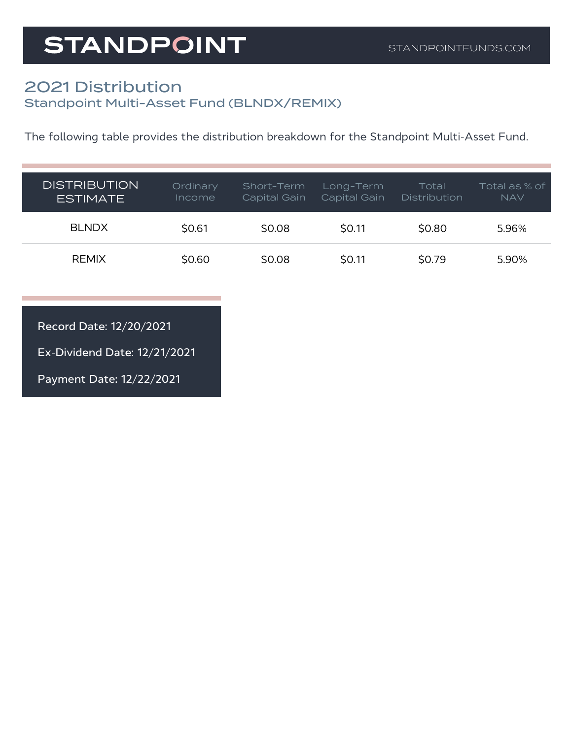## **STANDPOINT**

## 2021 Distribution Standpoint Multi-Asset Fund (BLNDX/REMIX)

The following table provides the distribution breakdown for the Standpoint Multi-Asset Fund.

| <b>DISTRIBUTION</b><br><b>ESTIMATE</b> | Ordinary<br><i>Income</i> | Short-Term<br>Capital Gain | Long-Term<br>Capital Gain | Total<br><b>Distribution</b> | Total as % of<br><b>NAV</b> |
|----------------------------------------|---------------------------|----------------------------|---------------------------|------------------------------|-----------------------------|
| <b>BLNDX</b>                           | \$0.61                    | \$0.08                     | <b>SO.11</b>              | \$0.80                       | 5.96%                       |
| <b>REMIX</b>                           | \$0.60                    | \$0.08                     | \$0.11                    | \$0.79                       | 5.90%                       |

Record Date: 12/20/2021

Ex-Dividend Date: 12/21/2021

Payment Date: 12/22/2021